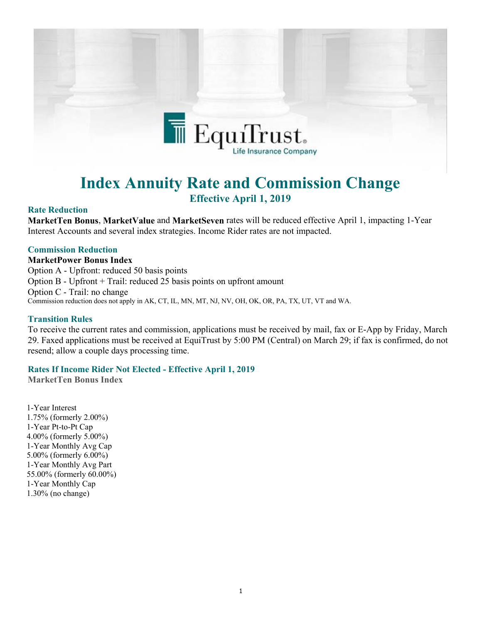

# **Index Annuity Rate and Commission Change Effective April 1, 2019**

## **Rate Reduction**

**MarketTen Bonus**, **MarketValue** and **MarketSeven** rates will be reduced effective April 1, impacting 1-Year Interest Accounts and several index strategies. Income Rider rates are not impacted.

### **Commission Reduction**

**MarketPower Bonus Index**

Option A - Upfront: reduced 50 basis points Option B - Upfront + Trail: reduced 25 basis points on upfront amount Option C - Trail: no change Commission reduction does not apply in AK, CT, IL, MN, MT, NJ, NV, OH, OK, OR, PA, TX, UT, VT and WA.

#### **Transition Rules**

To receive the current rates and commission, applications must be received by mail, fax or E-App by Friday, March 29. Faxed applications must be received at EquiTrust by 5:00 PM (Central) on March 29; if fax is confirmed, do not resend; allow a couple days processing time.

### **Rates If Income Rider Not Elected - Effective April 1, 2019**

**MarketTen Bonus Index**

1-Year Interest 1.75% (formerly 2.00%) 1-Year Pt-to-Pt Cap 4.00% (formerly 5.00%) 1-Year Monthly Avg Cap 5.00% (formerly 6.00%) 1-Year Monthly Avg Part 55.00% (formerly 60.00%) 1-Year Monthly Cap 1.30% (no change)